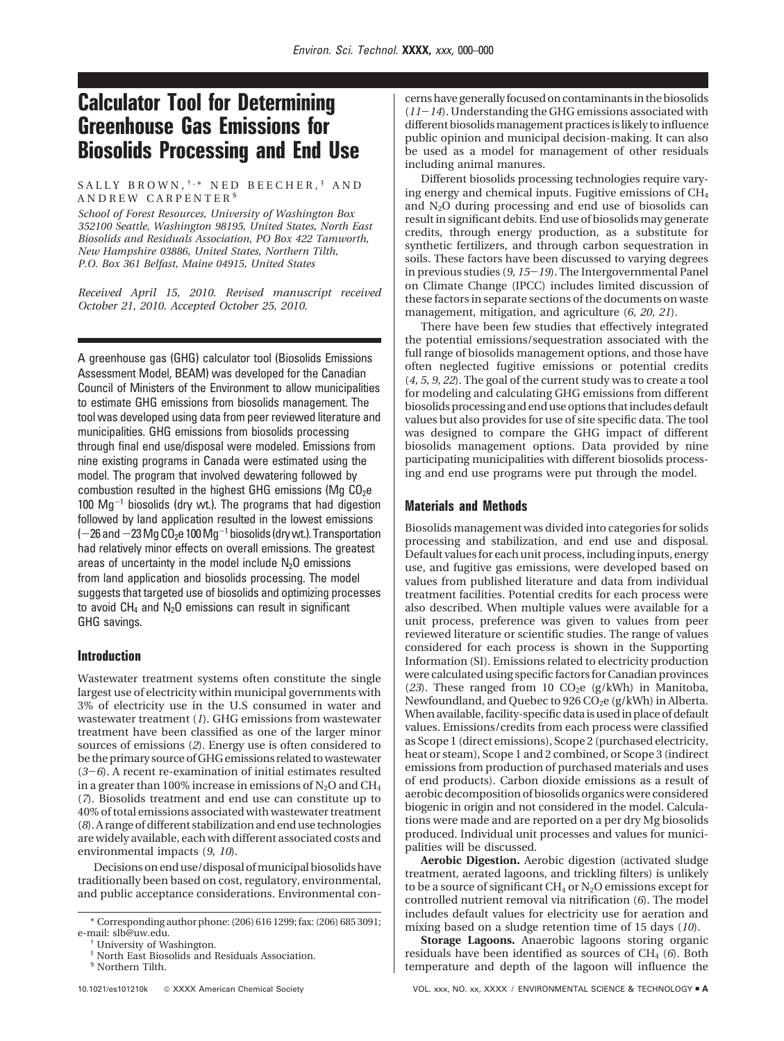# **Calculator Tool for Determining Greenhouse Gas Emissions for Biosolids Processing and End Use**

## SALLY BROWN,  $\dagger$ ,\* NED BEECHER,  $\dagger$  AND ANDREW CARPENTER §

*School of Forest Resources, University of Washington Box 352100 Seattle, Washington 98195, United States, North East Biosolids and Residuals Association, PO Box 422 Tamworth, New Hampshire 03886, United States, Northern Tilth, P.O. Box 361 Belfast, Maine 04915, United States*

*Received April 15, 2010. Revised manuscript received October 21, 2010. Accepted October 25, 2010.*

A greenhouse gas (GHG) calculator tool (Biosolids Emissions Assessment Model, BEAM) was developed for the Canadian Council of Ministers of the Environment to allow municipalities to estimate GHG emissions from biosolids management. The tool was developed using data from peer reviewed literature and municipalities. GHG emissions from biosolids processing through final end use/disposal were modeled. Emissions from nine existing programs in Canada were estimated using the model. The program that involved dewatering followed by combustion resulted in the highest GHG emissions (Mg  $CO<sub>2</sub>e$  $100 \text{ Mg}^{-1}$  biosolids (dry wt.). The programs that had digestion followed by land application resulted in the lowest emissions  $(-26$  and  $-23$  Mg CO<sub>2</sub>e 100 Mg<sup>-1</sup> biosolids (dry wt.). Transportation had relatively minor effects on overall emissions. The greatest areas of uncertainty in the model include  $N_2O$  emissions from land application and biosolids processing. The model suggests that targeted use of biosolids and optimizing processes to avoid  $CH_4$  and  $N_2O$  emissions can result in significant GHG savings.

# **Introduction**

Wastewater treatment systems often constitute the single largest use of electricity within municipal governments with 3% of electricity use in the U.S consumed in water and wastewater treatment (*1*). GHG emissions from wastewater treatment have been classified as one of the larger minor sources of emissions (*2*). Energy use is often considered to be the primary source of GHG emissions related to wastewater (*3*-*6*). A recent re-examination of initial estimates resulted in a greater than 100% increase in emissions of  $N_2O$  and  $CH_4$ (*7*). Biosolids treatment and end use can constitute up to 40% of total emissions associated with wastewater treatment (*8*). A range of different stabilization and end use technologies are widely available, each with different associated costs and environmental impacts (*9, 10*).

Decisions on end use/disposal of municipal biosolids have traditionally been based on cost, regulatory, environmental, and public acceptance considerations. Environmental concerns have generally focused on contaminants in the biosolids (*11*-*14*). Understanding the GHG emissions associated with different biosolids management practices is likely to influence public opinion and municipal decision-making. It can also be used as a model for management of other residuals including animal manures.

Different biosolids processing technologies require varying energy and chemical inputs. Fugitive emissions of CH4 and N2O during processing and end use of biosolids can result in significant debits. End use of biosolids may generate credits, through energy production, as a substitute for synthetic fertilizers, and through carbon sequestration in soils. These factors have been discussed to varying degrees in previous studies (*9, 15*-*19*). The Intergovernmental Panel on Climate Change (IPCC) includes limited discussion of these factors in separate sections of the documents on waste management, mitigation, and agriculture (*6, 20, 21*).

There have been few studies that effectively integrated the potential emissions/sequestration associated with the full range of biosolids management options, and those have often neglected fugitive emissions or potential credits (*4, 5, 9, 22*). The goal of the current study was to create a tool for modeling and calculating GHG emissions from different biosolids processing and end use options that includes default values but also provides for use of site specific data. The tool was designed to compare the GHG impact of different biosolids management options. Data provided by nine participating municipalities with different biosolids processing and end use programs were put through the model.

## **Materials and Methods**

Biosolids management was divided into categories for solids processing and stabilization, and end use and disposal. Default values for each unit process, including inputs, energy use, and fugitive gas emissions, were developed based on values from published literature and data from individual treatment facilities. Potential credits for each process were also described. When multiple values were available for a unit process, preference was given to values from peer reviewed literature or scientific studies. The range of values considered for each process is shown in the Supporting Information (SI). Emissions related to electricity production were calculated using specific factors for Canadian provinces (23). These ranged from 10  $CO<sub>2</sub>e$  (g/kWh) in Manitoba, Newfoundland, and Quebec to 926 CO<sub>2</sub>e (g/kWh) in Alberta. When available, facility-specific data is used in place of default values. Emissions/credits from each process were classified as Scope 1 (direct emissions), Scope 2 (purchased electricity, heat or steam), Scope 1 and 2 combined, or Scope 3 (indirect emissions from production of purchased materials and uses of end products). Carbon dioxide emissions as a result of aerobic decomposition of biosolids organics were considered biogenic in origin and not considered in the model. Calculations were made and are reported on a per dry Mg biosolids produced. Individual unit processes and values for municipalities will be discussed.

**Aerobic Digestion.** Aerobic digestion (activated sludge treatment, aerated lagoons, and trickling filters) is unlikely to be a source of significant CH<sub>4</sub> or  $N_2O$  emissions except for controlled nutrient removal via nitrification (*6*). The model includes default values for electricity use for aeration and mixing based on a sludge retention time of 15 days (*10*).

**Storage Lagoons.** Anaerobic lagoons storing organic residuals have been identified as sources of CH<sub>4</sub> (6). Both temperature and depth of the lagoon will influence the

 $^*$  Corresponding author phone: (206) 616 1299; fax: (206) 685 3091; e-mail: slb@uw.edu.

 $\dagger$  University of Washington.

North East Biosolids and Residuals Association.

<sup>§</sup> Northern Tilth.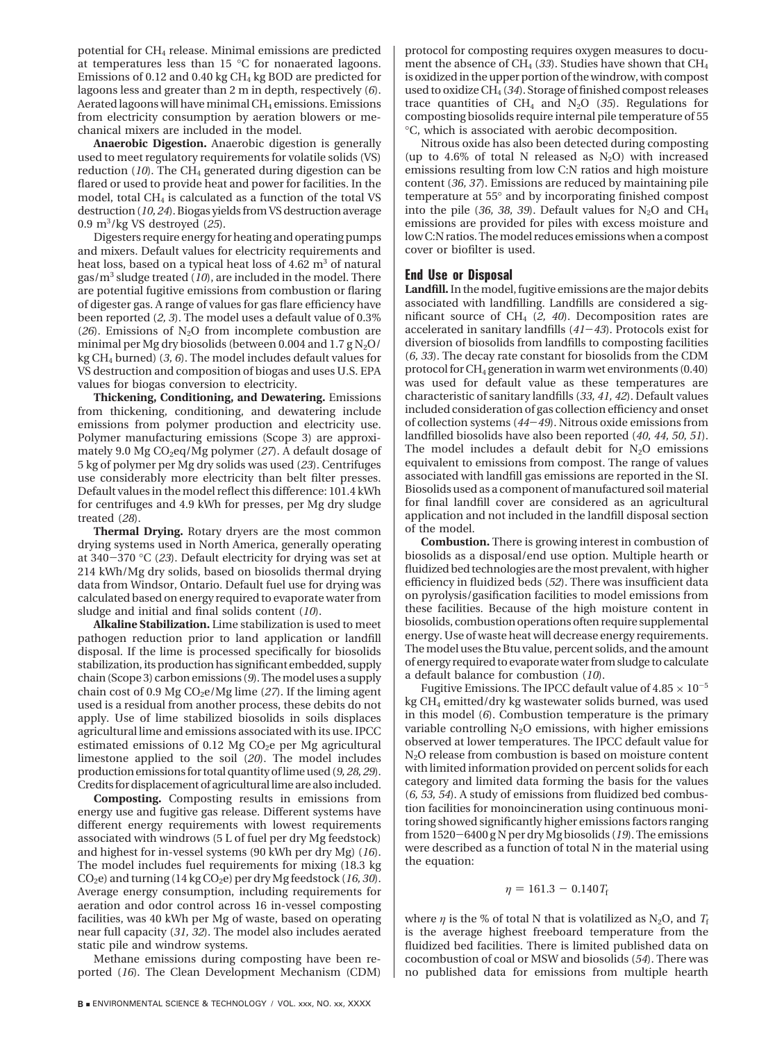potential for CH4 release. Minimal emissions are predicted at temperatures less than 15 °C for nonaerated lagoons. Emissions of 0.12 and 0.40 kg  $CH<sub>4</sub>$  kg BOD are predicted for lagoons less and greater than 2 m in depth, respectively (*6*). Aerated lagoons will have minimal  $CH_4$  emissions. Emissions from electricity consumption by aeration blowers or mechanical mixers are included in the model.

**Anaerobic Digestion.** Anaerobic digestion is generally used to meet regulatory requirements for volatile solids (VS) reduction  $(10)$ . The CH<sub>4</sub> generated during digestion can be flared or used to provide heat and power for facilities. In the model, total CH4 is calculated as a function of the total VS destruction (*10, 24*). Biogas yields from VS destruction average 0.9 m3 /kg VS destroyed (*25*).

Digesters require energy for heating and operating pumps and mixers. Default values for electricity requirements and heat loss, based on a typical heat loss of  $4.62 \text{ m}^3$  of natural gas/m3 sludge treated (*10*), are included in the model. There are potential fugitive emissions from combustion or flaring of digester gas. A range of values for gas flare efficiency have been reported (*2, 3*). The model uses a default value of 0.3% ( $26$ ). Emissions of N<sub>2</sub>O from incomplete combustion are minimal per Mg dry biosolids (between 0.004 and  $1.7 \text{ g N}_2\text{O}/$ kg CH4 burned) (*3, 6*). The model includes default values for VS destruction and composition of biogas and uses U.S. EPA values for biogas conversion to electricity.

**Thickening, Conditioning, and Dewatering.** Emissions from thickening, conditioning, and dewatering include emissions from polymer production and electricity use. Polymer manufacturing emissions (Scope 3) are approximately 9.0 Mg CO<sub>2</sub>eq/Mg polymer (27). A default dosage of 5 kg of polymer per Mg dry solids was used (*23*). Centrifuges use considerably more electricity than belt filter presses. Default values in the model reflect this difference: 101.4 kWh for centrifuges and 4.9 kWh for presses, per Mg dry sludge treated (*28*).

**Thermal Drying.** Rotary dryers are the most common drying systems used in North America, generally operating at 340-<sup>370</sup> °C (*23*). Default electricity for drying was set at 214 kWh/Mg dry solids, based on biosolids thermal drying data from Windsor, Ontario. Default fuel use for drying was calculated based on energy required to evaporate water from sludge and initial and final solids content (*10*).

**Alkaline Stabilization.** Lime stabilization is used to meet pathogen reduction prior to land application or landfill disposal. If the lime is processed specifically for biosolids stabilization, its production has significant embedded, supply chain (Scope 3) carbon emissions (*9*). The model uses a supply chain cost of 0.9 Mg CO<sub>2</sub>e/Mg lime (27). If the liming agent used is a residual from another process, these debits do not apply. Use of lime stabilized biosolids in soils displaces agricultural lime and emissions associated with its use. IPCC estimated emissions of 0.12 Mg  $CO<sub>2</sub>e$  per Mg agricultural limestone applied to the soil (*20*). The model includes production emissions for total quantity of lime used (*9, 28, 29*). Credits for displacement of agricultural lime are also included.

**Composting.** Composting results in emissions from energy use and fugitive gas release. Different systems have different energy requirements with lowest requirements associated with windrows (5 L of fuel per dry Mg feedstock) and highest for in-vessel systems (90 kWh per dry Mg) (*16*). The model includes fuel requirements for mixing (18.3 kg CO<sub>2</sub>e) and turning (14 kg CO<sub>2</sub>e) per dry Mg feedstock (16, 30). Average energy consumption, including requirements for aeration and odor control across 16 in-vessel composting facilities, was 40 kWh per Mg of waste, based on operating near full capacity (*31, 32*). The model also includes aerated static pile and windrow systems.

Methane emissions during composting have been reported (*16*). The Clean Development Mechanism (CDM) protocol for composting requires oxygen measures to document the absence of CH<sub>4</sub> (33). Studies have shown that CH<sub>4</sub> is oxidized in the upper portion of the windrow, with compost used to oxidize CH4 (*34*). Storage of finished compost releases trace quantities of  $CH_4$  and  $N_2O$  (35). Regulations for composting biosolids require internal pile temperature of 55 °C, which is associated with aerobic decomposition.

Nitrous oxide has also been detected during composting (up to 4.6% of total N released as  $N_2O$ ) with increased emissions resulting from low C:N ratios and high moisture content (*36, 37*). Emissions are reduced by maintaining pile temperature at 55° and by incorporating finished compost into the pile (36, 38, 39). Default values for  $N_2O$  and  $CH_4$ emissions are provided for piles with excess moisture and low C:N ratios. The model reduces emissions when a compost cover or biofilter is used.

# **End Use or Disposal**

**Landfill.**In the model, fugitive emissions are the major debits associated with landfilling. Landfills are considered a significant source of CH4 (*2, 40*). Decomposition rates are accelerated in sanitary landfills (*41*-*43*). Protocols exist for diversion of biosolids from landfills to composting facilities (*6, 33*). The decay rate constant for biosolids from the CDM protocol for  $CH_4$  generation in warm wet environments  $(0.40)$ was used for default value as these temperatures are characteristic of sanitary landfills (*33, 41, 42*). Default values included consideration of gas collection efficiency and onset of collection systems (*44*-*49*). Nitrous oxide emissions from landfilled biosolids have also been reported (*40, 44, 50, 51*). The model includes a default debit for  $N_2O$  emissions equivalent to emissions from compost. The range of values associated with landfill gas emissions are reported in the SI. Biosolids used as a component of manufactured soil material for final landfill cover are considered as an agricultural application and not included in the landfill disposal section of the model.

**Combustion.** There is growing interest in combustion of biosolids as a disposal/end use option. Multiple hearth or fluidized bed technologies are the most prevalent, with higher efficiency in fluidized beds (*52*). There was insufficient data on pyrolysis/gasification facilities to model emissions from these facilities. Because of the high moisture content in biosolids, combustion operations often require supplemental energy. Use of waste heat will decrease energy requirements. The model uses the Btu value, percent solids, and the amount of energy required to evaporate water from sludge to calculate a default balance for combustion (*10*).

Fugitive Emissions. The IPCC default value of  $4.85\times10^{-5}$ kg CH4 emitted/dry kg wastewater solids burned, was used in this model (*6*). Combustion temperature is the primary variable controlling  $N_2O$  emissions, with higher emissions observed at lower temperatures. The IPCC default value for N2O release from combustion is based on moisture content with limited information provided on percent solids for each category and limited data forming the basis for the values (*6, 53, 54*). A study of emissions from fluidized bed combustion facilities for monoincineration using continuous monitoring showed significantly higher emissions factors ranging from 1520-6400 g N per dry Mg biosolids (*19*). The emissions were described as a function of total N in the material using the equation:

$$
\eta = 161.3 - 0.140 T_{\rm f}
$$

where  $\eta$  is the % of total N that is volatilized as N<sub>2</sub>O, and  $T_f$ is the average highest freeboard temperature from the fluidized bed facilities. There is limited published data on cocombustion of coal or MSW and biosolids (*54*). There was no published data for emissions from multiple hearth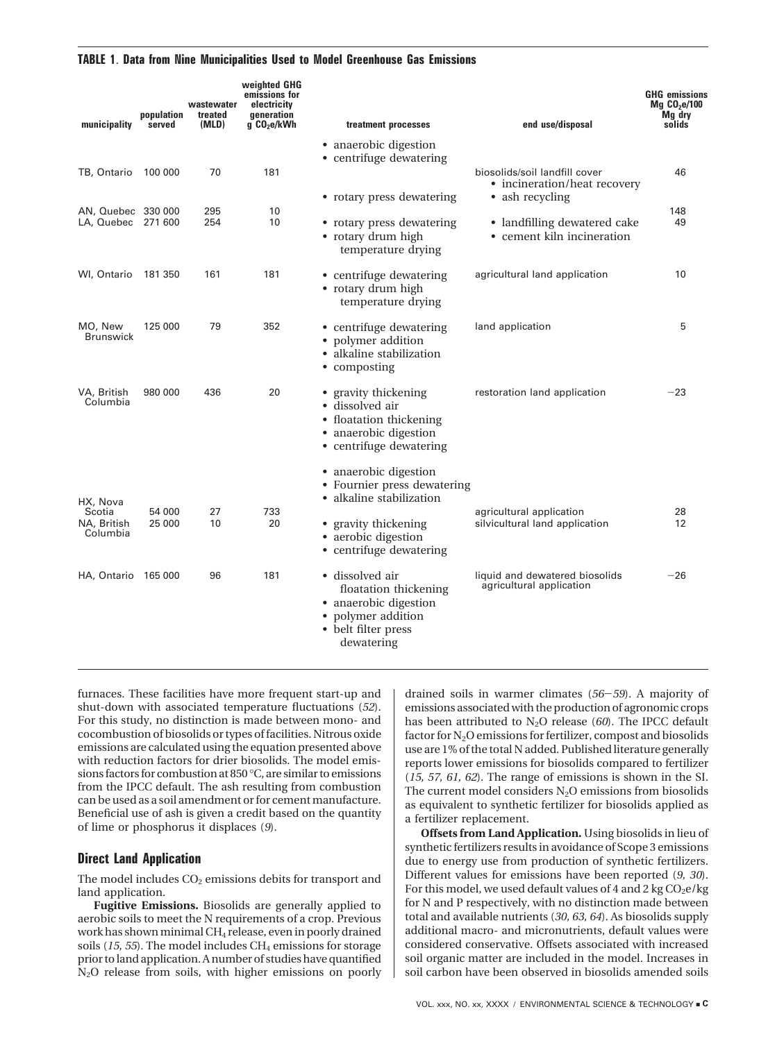#### **TABLE 1**. **Data from Nine Municipalities Used to Model Greenhouse Gas Emissions**

| municipality                             | population<br>served | wastewater<br>treated<br>(MLD) | weighted GHG<br>emissions for<br>electricity<br>generation<br>g CO <sub>2</sub> e/kWh | treatment processes                                                                                                          | end use/disposal                                                                 | <b>GHG emissions</b><br>$Mg$ CO <sub>2</sub> e/100<br>Mg dry<br>solids |
|------------------------------------------|----------------------|--------------------------------|---------------------------------------------------------------------------------------|------------------------------------------------------------------------------------------------------------------------------|----------------------------------------------------------------------------------|------------------------------------------------------------------------|
|                                          |                      |                                |                                                                                       | • anaerobic digestion<br>• centrifuge dewatering                                                                             |                                                                                  |                                                                        |
| TB, Ontario                              | 100 000              | 70                             | 181                                                                                   | • rotary press dewatering                                                                                                    | biosolids/soil landfill cover<br>• incineration/heat recovery<br>• ash recycling | 46                                                                     |
| AN, Quebec 330 000<br>LA, Quebec 271 600 |                      | 295<br>254                     | 10<br>10                                                                              | • rotary press dewatering<br>• rotary drum high<br>temperature drying                                                        | • landfilling dewatered cake<br>• cement kiln incineration                       |                                                                        |
| WI, Ontario 181 350                      |                      | 161                            | 181                                                                                   | • centrifuge dewatering<br>• rotary drum high<br>temperature drying                                                          | agricultural land application                                                    | 10                                                                     |
| MO, New<br><b>Brunswick</b>              | 125 000              | 79                             | 352                                                                                   | • centrifuge dewatering<br>• polymer addition<br>• alkaline stabilization<br>• composting                                    | land application                                                                 | 5                                                                      |
| VA, British<br>Columbia                  | 980 000              | 436                            | 20                                                                                    | • gravity thickening<br>• dissolved air<br>• floatation thickening<br>• anaerobic digestion<br>• centrifuge dewatering       | restoration land application                                                     | $-23$                                                                  |
| HX, Nova                                 |                      |                                |                                                                                       | • anaerobic digestion<br>• Fournier press dewatering<br>• alkaline stabilization                                             |                                                                                  |                                                                        |
| Scotia<br>NA, British<br>Columbia        | 54 000<br>25 000     | 27<br>10                       | 733<br>20                                                                             | • gravity thickening<br>• aerobic digestion<br>• centrifuge dewatering                                                       | agricultural application<br>silvicultural land application                       | 28<br>12                                                               |
| HA, Ontario 165 000                      |                      | 96                             | 181                                                                                   | • dissolved air<br>floatation thickening<br>• anaerobic digestion<br>• polymer addition<br>• belt filter press<br>dewatering | liquid and dewatered biosolids<br>agricultural application                       | $-26$                                                                  |

furnaces. These facilities have more frequent start-up and shut-down with associated temperature fluctuations (*52*). For this study, no distinction is made between mono- and cocombustion of biosolids or types of facilities. Nitrous oxide emissions are calculated using the equation presented above with reduction factors for drier biosolids. The model emissions factors for combustion at 850 °C, are similar to emissions from the IPCC default. The ash resulting from combustion can be used as a soil amendment or for cement manufacture. Beneficial use of ash is given a credit based on the quantity of lime or phosphorus it displaces (*9*).

# **Direct Land Application**

The model includes  $CO<sub>2</sub>$  emissions debits for transport and land application.

**Fugitive Emissions.** Biosolids are generally applied to aerobic soils to meet the N requirements of a crop. Previous work has shown minimal CH4 release, even in poorly drained soils (15, 55). The model includes CH<sub>4</sub> emissions for storage prior to land application. A number of studies have quantified N2O release from soils, with higher emissions on poorly drained soils in warmer climates (*56*-*59*). A majority of emissions associated with the production of agronomic crops has been attributed to N<sub>2</sub>O release (60). The IPCC default factor for  $N_2O$  emissions for fertilizer, compost and biosolids use are 1% of the total N added. Published literature generally reports lower emissions for biosolids compared to fertilizer (*15, 57, 61, 62*). The range of emissions is shown in the SI. The current model considers  $N_2O$  emissions from biosolids as equivalent to synthetic fertilizer for biosolids applied as a fertilizer replacement.

**Offsets from Land Application.** Using biosolids in lieu of synthetic fertilizers results in avoidance of Scope 3 emissions due to energy use from production of synthetic fertilizers. Different values for emissions have been reported (*9, 30*). For this model, we used default values of 4 and 2 kg  $CO<sub>2</sub>e/kg$ for N and P respectively, with no distinction made between total and available nutrients (*30, 63, 64*). As biosolids supply additional macro- and micronutrients, default values were considered conservative. Offsets associated with increased soil organic matter are included in the model. Increases in soil carbon have been observed in biosolids amended soils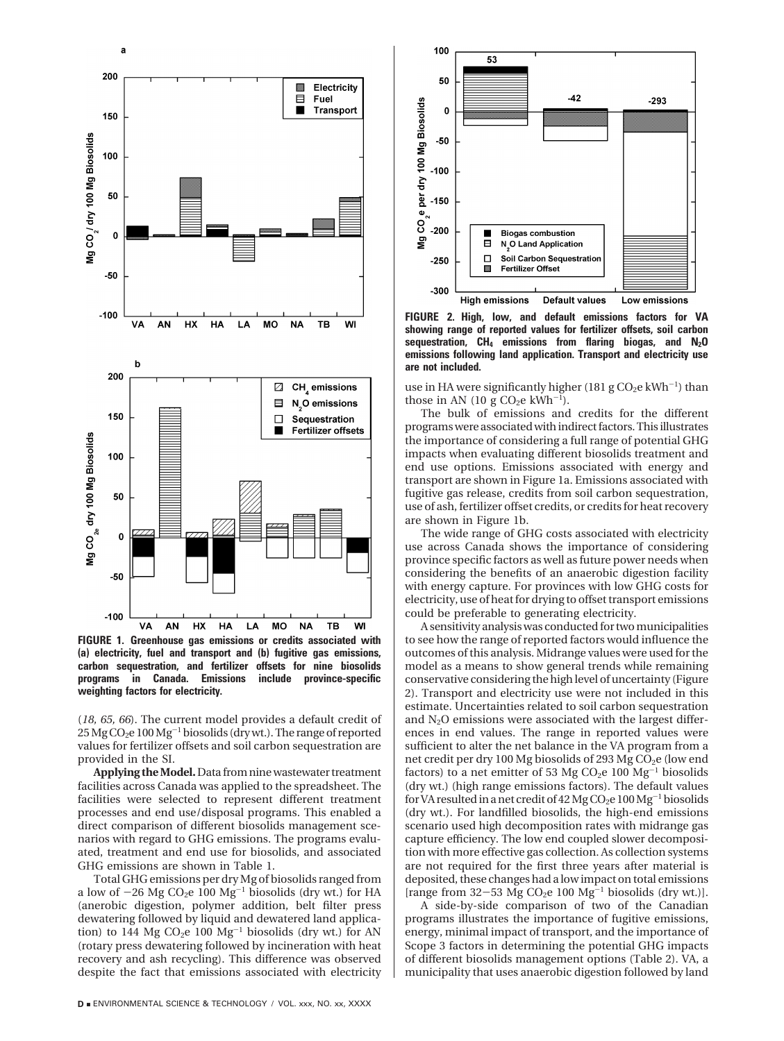

a

**FIGURE 1. Greenhouse gas emissions or credits associated with (a) electricity, fuel and transport and (b) fugitive gas emissions, carbon sequestration, and fertilizer offsets for nine biosolids programs in Canada. Emissions include province-specific weighting factors for electricity.**

(*18, 65, 66*). The current model provides a default credit of 25 Mg CO<sub>2</sub>e 100 Mg<sup>-1</sup> biosolids (dry wt.). The range of reported values for fertilizer offsets and soil carbon sequestration are provided in the SI.

**Applying theModel.**Data from nine wastewater treatment facilities across Canada was applied to the spreadsheet. The facilities were selected to represent different treatment processes and end use/disposal programs. This enabled a direct comparison of different biosolids management scenarios with regard to GHG emissions. The programs evaluated, treatment and end use for biosolids, and associated GHG emissions are shown in Table 1.

Total GHG emissions per dry Mg of biosolids ranged from a low of  $-26$  Mg CO<sub>2</sub>e 100 Mg<sup>-1</sup> biosolids (dry wt.) for HA (anerobic digestion, polymer addition, belt filter press dewatering followed by liquid and dewatered land application) to 144 Mg  $CO<sub>2</sub>e 100 Mg<sup>-1</sup>$  biosolids (dry wt.) for AN (rotary press dewatering followed by incineration with heat recovery and ash recycling). This difference was observed despite the fact that emissions associated with electricity



**FIGURE 2. High, low, and default emissions factors for VA showing range of reported values for fertilizer offsets, soil carbon sequestration, CH4 emissions from flaring biogas, and N2O emissions following land application. Transport and electricity use are not included.**

use in HA were significantly higher (181 g  $CO<sub>2</sub>e$  kWh<sup>-1</sup>) than those in AN (10 g  $CO<sub>2</sub>e$  kWh<sup>-1</sup>).

The bulk of emissions and credits for the different programs were associated with indirect factors. This illustrates the importance of considering a full range of potential GHG impacts when evaluating different biosolids treatment and end use options. Emissions associated with energy and transport are shown in Figure 1a. Emissions associated with fugitive gas release, credits from soil carbon sequestration, use of ash, fertilizer offset credits, or credits for heat recovery are shown in Figure 1b.

The wide range of GHG costs associated with electricity use across Canada shows the importance of considering province specific factors as well as future power needs when considering the benefits of an anaerobic digestion facility with energy capture. For provinces with low GHG costs for electricity, use of heat for drying to offset transport emissions could be preferable to generating electricity.

A sensitivity analysis was conducted for two municipalities to see how the range of reported factors would influence the outcomes of this analysis. Midrange values were used for the model as a means to show general trends while remaining conservative considering the high level of uncertainty (Figure 2). Transport and electricity use were not included in this estimate. Uncertainties related to soil carbon sequestration and N2O emissions were associated with the largest differences in end values. The range in reported values were sufficient to alter the net balance in the VA program from a net credit per dry 100 Mg biosolids of 293 Mg CO<sub>2</sub>e (low end factors) to a net emitter of 53 Mg CO<sub>2</sub>e 100 Mg<sup>-1</sup> biosolids (dry wt.) (high range emissions factors). The default values for VA resulted in a net credit of  $42$  Mg CO<sub>2</sub>e  $100$  Mg<sup>-1</sup> biosolids (dry wt.). For landfilled biosolids, the high-end emissions scenario used high decomposition rates with midrange gas capture efficiency. The low end coupled slower decomposition with more effective gas collection. As collection systems are not required for the first three years after material is deposited, these changes had a low impact on total emissions [range from  $32-53$  Mg CO<sub>2</sub>e 100 Mg<sup>-1</sup> biosolids (dry wt.)].

A side-by-side comparison of two of the Canadian programs illustrates the importance of fugitive emissions, energy, minimal impact of transport, and the importance of Scope 3 factors in determining the potential GHG impacts of different biosolids management options (Table 2). VA, a municipality that uses anaerobic digestion followed by land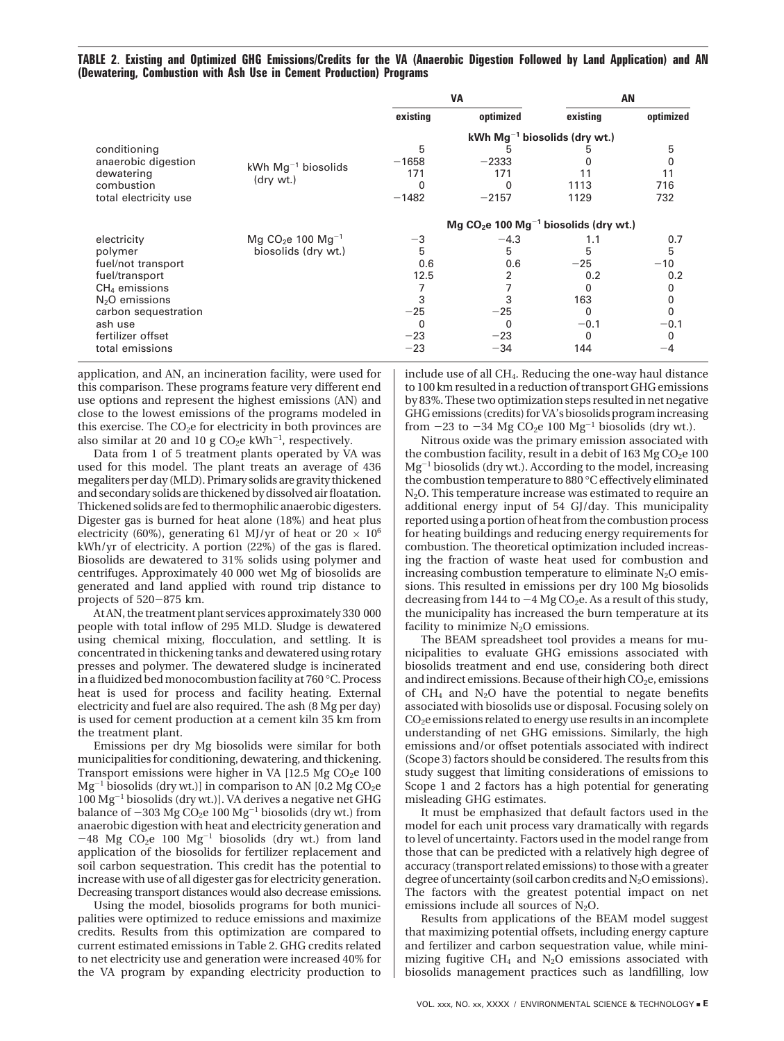**TABLE 2**. **Existing and Optimized GHG Emissions/Credits for the VA (Anaerobic Digestion Followed by Land Application) and AN (Dewatering, Combustion with Ash Use in Cement Production) Programs**

|                       |                                           | <b>VA</b>    |           |                                                                            | AN        |  |
|-----------------------|-------------------------------------------|--------------|-----------|----------------------------------------------------------------------------|-----------|--|
|                       |                                           | existing     | optimized | existing                                                                   | optimized |  |
|                       |                                           |              |           | kWh $Mg^{-1}$ biosolids (dry wt.)                                          |           |  |
| conditioning          |                                           | 5            |           |                                                                            | 5         |  |
| anaerobic digestion   |                                           | $-1658$      | $-2333$   |                                                                            |           |  |
| dewatering            | kWh $Mg^{-1}$ biosolids                   | 171          | 171       |                                                                            | 11        |  |
| combustion            | (dry wt.)                                 |              |           | 1113                                                                       | 716       |  |
| total electricity use |                                           | $-1482$      | $-2157$   | 1129                                                                       | 732       |  |
|                       |                                           |              |           | Mg CO <sub>2</sub> e 100 Mg <sup><math>-1</math></sup> biosolids (dry wt.) |           |  |
| electricity           | Mg CO <sub>2</sub> e 100 Mg <sup>-1</sup> | $-3$         | $-4.3$    | 1.1                                                                        | 0.7       |  |
| polymer               | biosolids (dry wt.)                       | 5            | 5         | 5                                                                          | 5         |  |
| fuel/not transport    |                                           | 0.6          | 0.6       | $-25$                                                                      | $-10$     |  |
| fuel/transport        |                                           | 12.5         | 2         | 0.2                                                                        | 0.2       |  |
| $CH4$ emissions       |                                           |              |           |                                                                            | 0         |  |
| $N2O$ emissions       | 3                                         |              | 163       | 0                                                                          |           |  |
| carbon sequestration  | $-25$                                     | $-25$        | 0         | $\mathbf{0}$                                                               |           |  |
| ash use               | 0                                         | <sup>0</sup> | $-0.1$    | $-0.1$                                                                     |           |  |
| fertilizer offset     | $-23$                                     | $-23$        | 0         | 0                                                                          |           |  |
| total emissions       |                                           | $-23$        | $-34$     | 144                                                                        | -4        |  |

application, and AN, an incineration facility, were used for this comparison. These programs feature very different end use options and represent the highest emissions (AN) and close to the lowest emissions of the programs modeled in this exercise. The  $CO<sub>2</sub>e$  for electricity in both provinces are also similar at 20 and 10 g  $CO<sub>2</sub>e$  kWh<sup>-1</sup>, respectively.

Data from 1 of 5 treatment plants operated by VA was used for this model. The plant treats an average of 436 megaliters per day (MLD). Primary solids are gravity thickened and secondary solids are thickened by dissolved air floatation. Thickened solids are fed to thermophilic anaerobic digesters. Digester gas is burned for heat alone (18%) and heat plus electricity (60%), generating 61 MJ/yr of heat or 20  $\times$  10<sup>6</sup> kWh/yr of electricity. A portion (22%) of the gas is flared. Biosolids are dewatered to 31% solids using polymer and centrifuges. Approximately 40 000 wet Mg of biosolids are generated and land applied with round trip distance to projects of 520-875 km.

At AN, the treatment plant services approximately 330 000 people with total inflow of 295 MLD. Sludge is dewatered using chemical mixing, flocculation, and settling. It is concentrated in thickening tanks and dewatered using rotary presses and polymer. The dewatered sludge is incinerated in a fluidized bed monocombustion facility at 760 °C. Process heat is used for process and facility heating. External electricity and fuel are also required. The ash (8 Mg per day) is used for cement production at a cement kiln 35 km from the treatment plant.

Emissions per dry Mg biosolids were similar for both municipalities for conditioning, dewatering, and thickening. Transport emissions were higher in VA  $[12.5 \text{ Mg } CO_2 \text{e } 100$  $Mg^{-1}$  biosolids (dry wt.)] in comparison to AN [0.2 Mg CO<sub>2</sub>e 100 Mg-<sup>1</sup> biosolids (dry wt.)]. VA derives a negative net GHG balance of  $-303$  Mg CO<sub>2</sub>e 100 Mg<sup>-1</sup> biosolids (dry wt.) from anaerobic digestion with heat and electricity generation and  $-48$  Mg CO<sub>2</sub>e 100 Mg<sup>-1</sup> biosolids (dry wt.) from land application of the biosolids for fertilizer replacement and soil carbon sequestration. This credit has the potential to increase with use of all digester gas for electricity generation. Decreasing transport distances would also decrease emissions.

Using the model, biosolids programs for both municipalities were optimized to reduce emissions and maximize credits. Results from this optimization are compared to current estimated emissions in Table 2. GHG credits related to net electricity use and generation were increased 40% for the VA program by expanding electricity production to

include use of all CH4. Reducing the one-way haul distance to 100 km resulted in a reduction of transport GHG emissions by 83%. These two optimization steps resulted in net negative GHG emissions (credits) for VA's biosolids program increasing from  $-23$  to  $-34$  Mg CO<sub>2</sub>e 100 Mg<sup>-1</sup> biosolids (dry wt.).

Nitrous oxide was the primary emission associated with the combustion facility, result in a debit of  $163$  Mg CO<sub>2</sub>e  $100$  $Mg^{-1}$  biosolids (dry wt.). According to the model, increasing the combustion temperature to 880 °C effectively eliminated N2O. This temperature increase was estimated to require an additional energy input of 54 GJ/day. This municipality reported using a portion of heat from the combustion process for heating buildings and reducing energy requirements for combustion. The theoretical optimization included increasing the fraction of waste heat used for combustion and increasing combustion temperature to eliminate  $N_2O$  emissions. This resulted in emissions per dry 100 Mg biosolids decreasing from 144 to  $-4$  Mg CO<sub>2</sub>e. As a result of this study, the municipality has increased the burn temperature at its facility to minimize  $N_2O$  emissions.

The BEAM spreadsheet tool provides a means for municipalities to evaluate GHG emissions associated with biosolids treatment and end use, considering both direct and indirect emissions. Because of their high  $CO<sub>2</sub>e$ , emissions of  $CH<sub>4</sub>$  and N<sub>2</sub>O have the potential to negate benefits associated with biosolids use or disposal. Focusing solely on CO2e emissions related to energy use results in an incomplete understanding of net GHG emissions. Similarly, the high emissions and/or offset potentials associated with indirect (Scope 3) factors should be considered. The results from this study suggest that limiting considerations of emissions to Scope 1 and 2 factors has a high potential for generating misleading GHG estimates.

It must be emphasized that default factors used in the model for each unit process vary dramatically with regards to level of uncertainty. Factors used in the model range from those that can be predicted with a relatively high degree of accuracy (transport related emissions) to those with a greater degree of uncertainty (soil carbon credits and  $N_2O$  emissions). The factors with the greatest potential impact on net emissions include all sources of  $N<sub>2</sub>O$ .

Results from applications of the BEAM model suggest that maximizing potential offsets, including energy capture and fertilizer and carbon sequestration value, while minimizing fugitive  $CH_4$  and  $N_2O$  emissions associated with biosolids management practices such as landfilling, low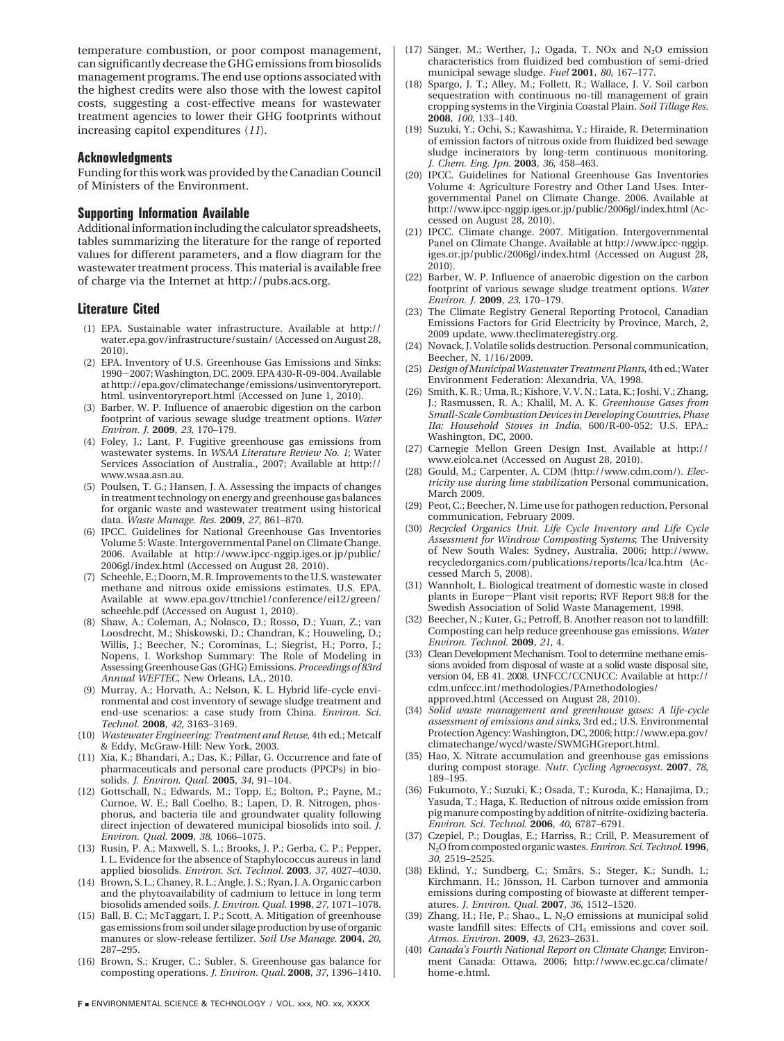temperature combustion, or poor compost management, can significantly decrease the GHG emissions from biosolids management programs. The end use options associated with the highest credits were also those with the lowest capitol costs, suggesting a cost-effective means for wastewater treatment agencies to lower their GHG footprints without increasing capitol expenditures (*11*).

### **Acknowledgments**

Funding for this work was provided by the Canadian Council of Ministers of the Environment.

## **Supporting Information Available**

Additional information including the calculator spreadsheets, tables summarizing the literature for the range of reported values for different parameters, and a flow diagram for the wastewater treatment process. This material is available free of charge via the Internet at http://pubs.acs.org.

#### **Literature Cited**

- (1) EPA. Sustainable water infrastructure. Available at http:// water.epa.gov/infrastructure/sustain/ (Accessed on August 28, 2010).
- (2) EPA. Inventory of U.S. Greenhouse Gas Emissions and Sinks: <sup>1990</sup>-2007; Washington, DC, 2009. EPA 430-R-09-004. Available at http://epa.gov/climatechange/emissions/usinventoryreport. html. usinventoryreport.html (Accessed on June 1, 2010).
- (3) Barber, W. P. Influence of anaerobic digestion on the carbon footprint of various sewage sludge treatment options. *Water Environ. J.* **2009**, *23*, 170–179.
- (4) Foley, J.; Lant, P. Fugitive greenhouse gas emissions from wastewater systems. In *WSAA Literature Review No. 1*; Water Services Association of Australia., 2007; Available at http:// www.wsaa.asn.au.
- (5) Poulsen, T. G.; Hansen, J. A. Assessing the impacts of changes in treatment technology on energy and greenhouse gas balances for organic waste and wastewater treatment using historical data. *Waste Manage. Res.* **2009**, *27*, 861–870.
- (6) IPCC. Guidelines for National Greenhouse Gas Inventories Volume 5: Waste. Intergovernmental Panel on Climate Change. 2006. Available at http://www.ipcc-nggip.iges.or.jp/public/ 2006gl/index.html (Accessed on August 28, 2010).
- (7) Scheehle, E.; Doorn, M. R. Improvements to the U.S. wastewater methane and nitrous oxide emissions estimates. U.S. EPA. Available at www.epa.gov/ttnchie1/conference/ei12/green/ scheehle.pdf (Accessed on August 1, 2010).
- (8) Shaw, A.; Coleman, A.; Nolasco, D.; Rosso, D.; Yuan, Z.; van Loosdrecht, M.; Shiskowski, D.; Chandran, K.; Houweling, D.; Willis, J.; Beecher, N.; Corominas, L.; Siegrist, H.; Porro, J.; Nopens, I. Workshop Summary: The Role of Modeling in Assessing Greenhouse Gas (GHG) Emissions.*Proceedings of 83rd Annual WEFTEC*, New Orleans, LA., 2010.
- (9) Murray, A.; Horvath, A.; Nelson, K. L. Hybrid life-cycle environmental and cost inventory of sewage sludge treatment and end-use scenarios: a case study from China. *Environ. Sci. Technol.* **2008**, *42*, 3163–3169.
- (10) *Wastewater Engineering: Treatment and Reuse*, 4th ed.; Metcalf & Eddy, McGraw-Hill: New York, 2003.
- (11) Xia, K.; Bhandari, A.; Das, K.; Pillar, G. Occurrence and fate of pharmaceuticals and personal care products (PPCPs) in biosolids. *J. Environ. Qual.* **2005**, *34*, 91–104.
- (12) Gottschall, N.; Edwards, M.; Topp, E.; Bolton, P.; Payne, M.; Curnoe, W. E.; Ball Coelho, B.; Lapen, D. R. Nitrogen, phosphorus, and bacteria tile and groundwater quality following direct injection of dewatered municipal biosolids into soil. *J. Environ. Qual.* **2009**, *38*, 1066–1075.
- (13) Rusin, P. A.; Maxwell, S. L.; Brooks, J. P.; Gerba, C. P.; Pepper, I. L. Evidence for the absence of Staphylococcus aureus in land applied biosolids. *Environ. Sci. Technol.* **2003**, *37*, 4027–4030.
- (14) Brown, S. L.; Chaney, R. L.; Angle, J. S.; Ryan, J. A. Organic carbon and the phytoavailability of cadmium to lettuce in long term biosolids amended soils. *J. Environ. Qual.* **1998**, *27*, 1071–1078.
- (15) Ball, B. C.; McTaggart, I. P.; Scott, A. Mitigation of greenhouse gas emissions from soil under silage production by use of organic manures or slow-release fertilizer. *Soil Use Manage.* **2004**, *20*, 287–295.
- (16) Brown, S.; Kruger, C.; Subler, S. Greenhouse gas balance for composting operations. *J. Environ. Qual.* **2008**, *37*, 1396–1410.
- **F ENVIRONMENTAL SCIENCE & TECHNOLOGY / VOL. xxx, NO. xx, XXXX**
- (17) Sänger, M.; Werther, J.; Ogada, T. NOx and  $N_2O$  emission characteristics from fluidized bed combustion of semi-dried municipal sewage sludge. *Fuel* **2001**, *80*, 167–177.
- (18) Spargo, J. T.; Alley, M.; Follett, R.; Wallace, J. V. Soil carbon sequestration with continuous no-till management of grain cropping systems in the Virginia Coastal Plain. *Soil Tillage Res.* **2008**, *100*, 133–140.
- (19) Suzuki, Y.; Ochi, S.; Kawashima, Y.; Hiraide, R. Determination of emission factors of nitrous oxide from fluidized bed sewage sludge incinerators by long-term continuous monitoring. *J. Chem. Eng. Jpn.* **2003**, *36*, 458–463.
- (20) IPCC. Guidelines for National Greenhouse Gas Inventories Volume 4: Agriculture Forestry and Other Land Uses. Intergovernmental Panel on Climate Change. 2006. Available at http://www.ipcc-nggip.iges.or.jp/public/2006gl/index.html (Accessed on August 28, 2010).
- (21) IPCC. Climate change. 2007. Mitigation. Intergovernmental Panel on Climate Change. Available at http://www.ipcc-nggip. iges.or.jp/public/2006gl/index.html (Accessed on August 28, 2010).
- (22) Barber, W. P. Influence of anaerobic digestion on the carbon footprint of various sewage sludge treatment options. *Water Environ. J.* **2009**, *23*, 170–179.
- (23) The Climate Registry General Reporting Protocol, Canadian Emissions Factors for Grid Electricity by Province, March, 2, 2009 update, www.theclimateregistry.org.
- (24) Novack, J. Volatile solids destruction. Personal communication, Beecher, N. 1/16/2009.
- (25) *Design of Municipal Wastewater Treatment Plants*, 4th ed.; Water Environment Federation: Alexandria, VA, 1998.
- (26) Smith, K. R.; Uma, R.; Kishore, V. V. N.; Lata, K.; Joshi, V.; Zhang, J.; Rasmussen, R. A.; Khalil, M. A. K. *Greenhouse Gases from Small-Scale Combustion Devices in Developing Countries, Phase IIa: Household Stoves in India*, 600/R-00-052; U.S. EPA.: Washington, DC, 2000.
- (27) Carnegie Mellon Green Design Inst. Available at http:// www.eiolca.net (Accessed on August 28, 2010).
- (28) Gould, M.; Carpenter, A. CDM (http://www.cdm.com/). *Electricity use during lime stabilization* Personal communication, March 2009.
- (29) Peot, C.; Beecher, N. Lime use for pathogen reduction, Personal communication, February 2009.
- (30) *Recycled Organics Unit. Life Cycle Inventory and Life Cycle Assessment for Windrow Composting Systems*; The University of New South Wales: Sydney, Australia, 2006; http://www. recycledorganics.com/publications/reports/lca/lca.htm (Accessed March 5, 2008).
- (31) Wannholt, L. Biological treatment of domestic waste in closed plants in Europe-Plant visit reports; RVF Report 98:8 for the Swedish Association of Solid Waste Management, 1998.
- (32) Beecher, N.; Kuter, G.; Petroff, B. Another reason not to landfill: Composting can help reduce greenhouse gas emissions. *Water Environ. Technol.* **2009**, *21*, 4.
- (33) Clean Development Mechanism. Tool to determine methane emissions avoided from disposal of waste at a solid waste disposal site, version 04, EB 41. 2008. UNFCC/CCNUCC: Available at http:// cdm.unfccc.int/methodologies/PAmethodologies/ approved.html (Accessed on August 28, 2010).
- (34) *Solid waste management and greenhouse gases: A life-cycle assessment of emissions and sinks*, 3rd ed.; U.S. Environmental Protection Agency: Washington, DC, 2006; http://www.epa.gov/ climatechange/wycd/waste/SWMGHGreport.html.
- (35) Hao, X. Nitrate accumulation and greenhouse gas emissions during compost storage. *Nutr. Cycling Agroecosyst.* **2007**, *78*, 189–195.
- (36) Fukumoto, Y.; Suzuki, K.; Osada, T.; Kuroda, K.; Hanajima, D.; Yasuda, T.; Haga, K. Reduction of nitrous oxide emission from pig manure composting by addition of nitrite-oxidizing bacteria. *Environ. Sci. Technol.* **2006**, *40*, 6787–6791.
- (37) Czepiel, P.; Douglas, E.; Harriss, R.; Crill, P. Measurement of N2O from composted organic wastes.*Environ. Sci. Technol.***1996**, *30*, 2519–2525.
- (38) Eklind, Y.; Sundberg, C.; Smårs, S.; Steger, K.; Sundh, I.; Kirchmann, H.; Jönsson, H. Carbon turnover and ammonia emissions during composting of biowaste at different temperatures. *J. Environ. Qual.* **2007**, *36*, 1512–1520.
- (39) Zhang, H.; He, P.; Shao., L.  $N_2O$  emissions at municipal solid waste landfill sites: Effects of  $CH_4$  emissions and cover soil. *Atmos. Environ.* **2009**, *43*, 2623–2631.
- (40) *Canada's Fourth National Report on Climate Change*; Environment Canada: Ottawa, 2006; http://www.ec.gc.ca/climate/ home-e.html.